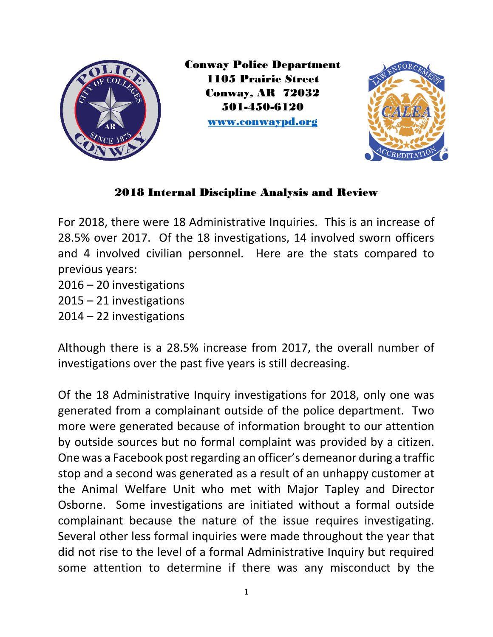

Conway Police Department 1105 Prairie Street Conway, AR 72032 501-450-6120 [www.conwaypd.org](http://www.conwaypd.org/)



## 2018 Internal Discipline Analysis and Review

For 2018, there were 18 Administrative Inquiries. This is an increase of 28.5% over 2017. Of the 18 investigations, 14 involved sworn officers and 4 involved civilian personnel. Here are the stats compared to previous years:

2016 – 20 investigations

2015 – 21 investigations

2014 – 22 investigations

Although there is a 28.5% increase from 2017, the overall number of investigations over the past five years is still decreasing.

Of the 18 Administrative Inquiry investigations for 2018, only one was generated from a complainant outside of the police department. Two more were generated because of information brought to our attention by outside sources but no formal complaint was provided by a citizen. One was a Facebook post regarding an officer's demeanor during a traffic stop and a second was generated as a result of an unhappy customer at the Animal Welfare Unit who met with Major Tapley and Director Osborne. Some investigations are initiated without a formal outside complainant because the nature of the issue requires investigating. Several other less formal inquiries were made throughout the year that did not rise to the level of a formal Administrative Inquiry but required some attention to determine if there was any misconduct by the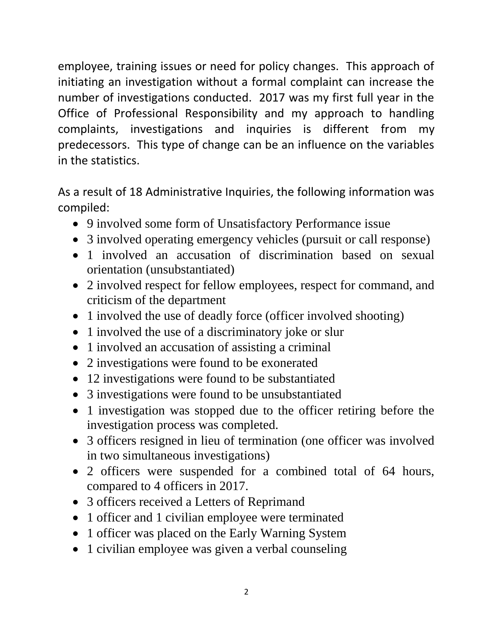employee, training issues or need for policy changes. This approach of initiating an investigation without a formal complaint can increase the number of investigations conducted. 2017 was my first full year in the Office of Professional Responsibility and my approach to handling complaints, investigations and inquiries is different from my predecessors. This type of change can be an influence on the variables in the statistics.

As a result of 18 Administrative Inquiries, the following information was compiled:

- 9 involved some form of Unsatisfactory Performance issue
- 3 involved operating emergency vehicles (pursuit or call response)
- 1 involved an accusation of discrimination based on sexual orientation (unsubstantiated)
- 2 involved respect for fellow employees, respect for command, and criticism of the department
- 1 involved the use of deadly force (officer involved shooting)
- 1 involved the use of a discriminatory joke or slur
- 1 involved an accusation of assisting a criminal
- 2 investigations were found to be exonerated
- 12 investigations were found to be substantiated
- 3 investigations were found to be unsubstantiated
- 1 investigation was stopped due to the officer retiring before the investigation process was completed.
- 3 officers resigned in lieu of termination (one officer was involved in two simultaneous investigations)
- 2 officers were suspended for a combined total of 64 hours, compared to 4 officers in 2017.
- 3 officers received a Letters of Reprimand
- 1 officer and 1 civilian employee were terminated
- 1 officer was placed on the Early Warning System
- 1 civilian employee was given a verbal counseling